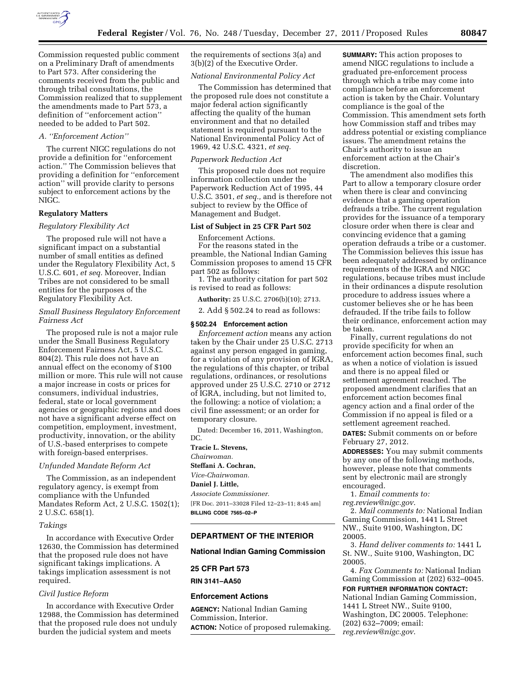

Commission requested public comment on a Preliminary Draft of amendments to Part 573. After considering the comments received from the public and through tribal consultations, the Commission realized that to supplement the amendments made to Part 573, a definition of ''enforcement action'' needed to be added to Part 502.

# *A. ''Enforcement Action''*

The current NIGC regulations do not provide a definition for ''enforcement action.'' The Commission believes that providing a definition for ''enforcement action'' will provide clarity to persons subject to enforcement actions by the NIGC.

### **Regulatory Matters**

### *Regulatory Flexibility Act*

The proposed rule will not have a significant impact on a substantial number of small entities as defined under the Regulatory Flexibility Act, 5 U.S.C. 601, *et seq.* Moreover, Indian Tribes are not considered to be small entities for the purposes of the Regulatory Flexibility Act.

### *Small Business Regulatory Enforcement Fairness Act*

The proposed rule is not a major rule under the Small Business Regulatory Enforcement Fairness Act, 5 U.S.C. 804(2). This rule does not have an annual effect on the economy of \$100 million or more. This rule will not cause a major increase in costs or prices for consumers, individual industries, federal, state or local government agencies or geographic regions and does not have a significant adverse effect on competition, employment, investment, productivity, innovation, or the ability of U.S.-based enterprises to compete with foreign-based enterprises.

### *Unfunded Mandate Reform Act*

The Commission, as an independent regulatory agency, is exempt from compliance with the Unfunded Mandates Reform Act, 2 U.S.C. 1502(1); 2 U.S.C. 658(1).

### *Takings*

In accordance with Executive Order 12630, the Commission has determined that the proposed rule does not have significant takings implications. A takings implication assessment is not required.

### *Civil Justice Reform*

In accordance with Executive Order 12988, the Commission has determined that the proposed rule does not unduly burden the judicial system and meets

the requirements of sections 3(a) and 3(b)(2) of the Executive Order.

## *National Environmental Policy Act*

The Commission has determined that the proposed rule does not constitute a major federal action significantly affecting the quality of the human environment and that no detailed statement is required pursuant to the National Environmental Policy Act of 1969, 42 U.S.C. 4321, *et seq.* 

### *Paperwork Reduction Act*

This proposed rule does not require information collection under the Paperwork Reduction Act of 1995, 44 U.S.C. 3501, *et seq.,* and is therefore not subject to review by the Office of Management and Budget.

### **List of Subject in 25 CFR Part 502**

Enforcement Actions. For the reasons stated in the preamble, the National Indian Gaming Commission proposes to amend 15 CFR part 502 as follows:

1. The authority citation for part 502 is revised to read as follows:

**Authority:** 25 U.S.C. 2706(b)(10); 2713.

2. Add § 502.24 to read as follows:

# **§ 502.24 Enforcement action**

*Enforcement action* means any action taken by the Chair under 25 U.S.C. 2713 against any person engaged in gaming, for a violation of any provision of IGRA, the regulations of this chapter, or tribal regulations, ordinances, or resolutions approved under 25 U.S.C. 2710 or 2712 of IGRA, including, but not limited to, the following: a notice of violation; a civil fine assessment; or an order for temporary closure.

Dated: December 16, 2011, Washington, DC.

**Tracie L. Stevens,**  *Chairwoman.*  **Steffani A. Cochran,**  *Vice-Chairwoman.*  **Daniel J. Little,**  *Associate Commissioner.*  [FR Doc. 2011–33028 Filed 12–23–11; 8:45 am] **BILLING CODE 7565–02–P** 

### **DEPARTMENT OF THE INTERIOR**

### **National Indian Gaming Commission**

# **25 CFR Part 573**

**RIN 3141–AA50** 

#### **Enforcement Actions**

**AGENCY:** National Indian Gaming Commission, Interior. **ACTION:** Notice of proposed rulemaking. **SUMMARY:** This action proposes to amend NIGC regulations to include a graduated pre-enforcement process through which a tribe may come into compliance before an enforcement action is taken by the Chair. Voluntary compliance is the goal of the Commission. This amendment sets forth how Commission staff and tribes may address potential or existing compliance issues. The amendment retains the Chair's authority to issue an enforcement action at the Chair's discretion.

The amendment also modifies this Part to allow a temporary closure order when there is clear and convincing evidence that a gaming operation defrauds a tribe. The current regulation provides for the issuance of a temporary closure order when there is clear and convincing evidence that a gaming operation defrauds a tribe or a customer. The Commission believes this issue has been adequately addressed by ordinance requirements of the IGRA and NIGC regulations, because tribes must include in their ordinances a dispute resolution procedure to address issues where a customer believes she or he has been defrauded. If the tribe fails to follow their ordinance, enforcement action may be taken.

Finally, current regulations do not provide specificity for when an enforcement action becomes final, such as when a notice of violation is issued and there is no appeal filed or settlement agreement reached. The proposed amendment clarifies that an enforcement action becomes final agency action and a final order of the Commission if no appeal is filed or a settlement agreement reached.

**DATES:** Submit comments on or before February 27, 2012.

**ADDRESSES:** You may submit comments by any one of the following methods, however, please note that comments sent by electronic mail are strongly encouraged.

1. *Email comments to:* 

*[reg.review@nigc.gov](mailto:reg.review@nigc.gov)*. 2. *Mail comments to:* National Indian Gaming Commission, 1441 L Street NW., Suite 9100, Washington, DC 20005.

3. *Hand deliver comments to:* 1441 L St. NW., Suite 9100, Washington, DC 20005.

4. *Fax Comments to:* National Indian Gaming Commission at (202) 632–0045.

### **FOR FURTHER INFORMATION CONTACT:**

National Indian Gaming Commission, 1441 L Street NW., Suite 9100, Washington, DC 20005. Telephone: (202) 632–7009; email: *[reg.review@nigc.gov](mailto:reg.review@nigc.gov)*.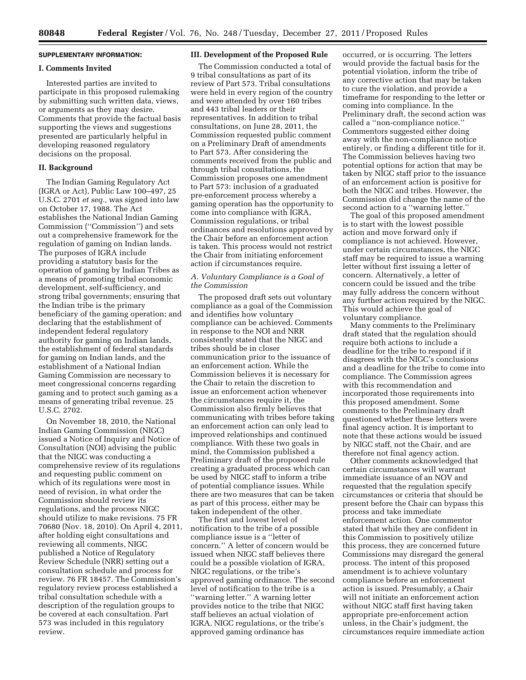### **SUPPLEMENTARY INFORMATION:**

### **I. Comments Invited**

Interested parties are invited to participate in this proposed rulemaking by submitting such written data, views, or arguments as they may desire. Comments that provide the factual basis supporting the views and suggestions presented are particularly helpful in developing reasoned regulatory decisions on the proposal.

### **II. Background**

The Indian Gaming Regulatory Act (IGRA or Act), Public Law 100–497, 25 U.S.C. 2701 *et seq.,* was signed into law on October 17, 1988. The Act establishes the National Indian Gaming Commission (''Commission'') and sets out a comprehensive framework for the regulation of gaming on Indian lands. The purposes of IGRA include providing a statutory basis for the operation of gaming by Indian Tribes as a means of promoting tribal economic development, self-sufficiency, and strong tribal governments; ensuring that the Indian tribe is the primary beneficiary of the gaming operation; and declaring that the establishment of independent federal regulatory authority for gaming on Indian lands, the establishment of federal standards for gaming on Indian lands, and the establishment of a National Indian Gaming Commission are necessary to meet congressional concerns regarding gaming and to protect such gaming as a means of generating tribal revenue. 25 U.S.C. 2702.

On November 18, 2010, the National Indian Gaming Commission (NIGC) issued a Notice of Inquiry and Notice of Consultation (NOI) advising the public that the NIGC was conducting a comprehensive review of its regulations and requesting public comment on which of its regulations were most in need of revision, in what order the Commission should review its regulations, and the process NIGC should utilize to make revisions. 75 FR 70680 (Nov. 18, 2010). On April 4, 2011, after holding eight consultations and reviewing all comments, NIGC published a Notice of Regulatory Review Schedule (NRR) setting out a consultation schedule and process for review. 76 FR 18457. The Commission's regulatory review process established a tribal consultation schedule with a description of the regulation groups to be covered at each consultation. Part 573 was included in this regulatory review.

### **III. Development of the Proposed Rule**

The Commission conducted a total of 9 tribal consultations as part of its review of Part 573. Tribal consultations were held in every region of the country and were attended by over 160 tribes and 443 tribal leaders or their representatives. In addition to tribal consultations, on June 28, 2011, the Commission requested public comment on a Preliminary Draft of amendments to Part 573. After considering the comments received from the public and through tribal consultations, the Commission proposes one amendment to Part 573: inclusion of a graduated pre-enforcement process whereby a gaming operation has the opportunity to come into compliance with IGRA, Commission regulations, or tribal ordinances and resolutions approved by the Chair before an enforcement action is taken. This process would not restrict the Chair from initiating enforcement action if circumstances require.

## *A. Voluntary Compliance is a Goal of the Commission*

The proposed draft sets out voluntary compliance as a goal of the Commission and identifies how voluntary compliance can be achieved. Comments in response to the NOI and NRR consistently stated that the NIGC and tribes should be in closer communication prior to the issuance of an enforcement action. While the Commission believes it is necessary for the Chair to retain the discretion to issue an enforcement action whenever the circumstances require it, the Commission also firmly believes that communicating with tribes before taking an enforcement action can only lead to improved relationships and continued compliance. With these two goals in mind, the Commission published a Preliminary draft of the proposed rule creating a graduated process which can be used by NIGC staff to inform a tribe of potential compliance issues. While there are two measures that can be taken as part of this process, either may be taken independent of the other.

The first and lowest level of notification to the tribe of a possible compliance issue is a ''letter of concern.'' A letter of concern would be issued when NIGC staff believes there could be a possible violation of IGRA, NIGC regulations, or the tribe's approved gaming ordinance. The second level of notification to the tribe is a ''warning letter.'' A warning letter provides notice to the tribe that NIGC staff believes an actual violation of IGRA, NIGC regulations, or the tribe's approved gaming ordinance has

occurred, or is occurring. The letters would provide the factual basis for the potential violation, inform the tribe of any corrective action that may be taken to cure the violation, and provide a timeframe for responding to the letter or coming into compliance. In the Preliminary draft, the second action was called a ''non-compliance notice.'' Commentors suggested either doing away with the non-compliance notice entirely, or finding a different title for it. The Commission believes having two potential options for action that may be taken by NIGC staff prior to the issuance of an enforcement action is positive for both the NIGC and tribes. However, the Commission did change the name of the second action to a ''warning letter.''

The goal of this proposed amendment is to start with the lowest possible action and move forward only if compliance is not achieved. However, under certain circumstances, the NIGC staff may be required to issue a warning letter without first issuing a letter of concern. Alternatively, a letter of concern could be issued and the tribe may fully address the concern without any further action required by the NIGC. This would achieve the goal of voluntary compliance.

Many comments to the Preliminary draft stated that the regulation should require both actions to include a deadline for the tribe to respond if it disagrees with the NIGC's conclusions and a deadline for the tribe to come into compliance. The Commission agrees with this recommendation and incorporated those requirements into this proposed amendment. Some comments to the Preliminary draft questioned whether these letters were final agency action. It is important to note that these actions would be issued by NIGC staff, not the Chair, and are therefore not final agency action.

Other comments acknowledged that certain circumstances will warrant immediate issuance of an NOV and requested that the regulation specify circumstances or criteria that should be present before the Chair can bypass this process and take immediate enforcement action. One commentor stated that while they are confident in this Commission to positively utilize this process, they are concerned future Commissions may disregard the general process. The intent of this proposed amendment is to achieve voluntary compliance before an enforcement action is issued. Presumably, a Chair will not initiate an enforcement action without NIGC staff first having taken appropriate pre-enforcement action unless, in the Chair's judgment, the circumstances require immediate action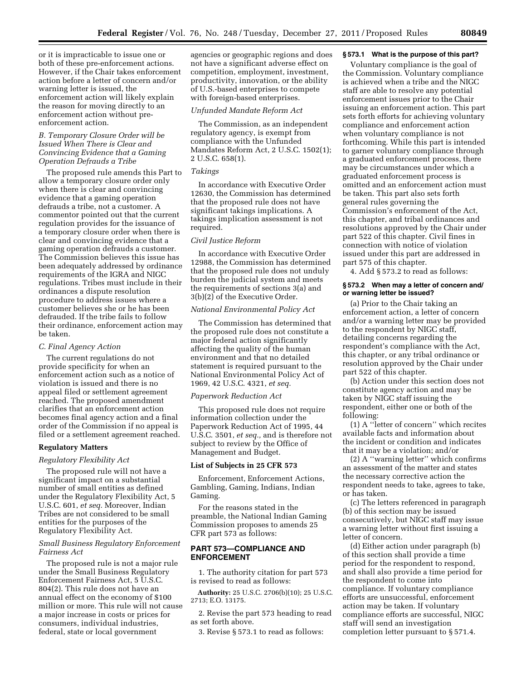or it is impracticable to issue one or both of these pre-enforcement actions. However, if the Chair takes enforcement action before a letter of concern and/or warning letter is issued, the enforcement action will likely explain the reason for moving directly to an enforcement action without preenforcement action.

## *B. Temporary Closure Order will be Issued When There is Clear and Convincing Evidence that a Gaming Operation Defrauds a Tribe*

The proposed rule amends this Part to allow a temporary closure order only when there is clear and convincing evidence that a gaming operation defrauds a tribe, not a customer. A commentor pointed out that the current regulation provides for the issuance of a temporary closure order when there is clear and convincing evidence that a gaming operation defrauds a customer. The Commission believes this issue has been adequately addressed by ordinance requirements of the IGRA and NIGC regulations. Tribes must include in their ordinances a dispute resolution procedure to address issues where a customer believes she or he has been defrauded. If the tribe fails to follow their ordinance, enforcement action may be taken.

#### *C. Final Agency Action*

The current regulations do not provide specificity for when an enforcement action such as a notice of violation is issued and there is no appeal filed or settlement agreement reached. The proposed amendment clarifies that an enforcement action becomes final agency action and a final order of the Commission if no appeal is filed or a settlement agreement reached.

#### **Regulatory Matters**

#### *Regulatory Flexibility Act*

The proposed rule will not have a significant impact on a substantial number of small entities as defined under the Regulatory Flexibility Act, 5 U.S.C. 601, *et seq.* Moreover, Indian Tribes are not considered to be small entities for the purposes of the Regulatory Flexibility Act.

## *Small Business Regulatory Enforcement Fairness Act*

The proposed rule is not a major rule under the Small Business Regulatory Enforcement Fairness Act, 5 U.S.C. 804(2). This rule does not have an annual effect on the economy of \$100 million or more. This rule will not cause a major increase in costs or prices for consumers, individual industries, federal, state or local government

agencies or geographic regions and does not have a significant adverse effect on competition, employment, investment, productivity, innovation, or the ability of U.S.-based enterprises to compete with foreign-based enterprises.

#### *Unfunded Mandate Reform Act*

The Commission, as an independent regulatory agency, is exempt from compliance with the Unfunded Mandates Reform Act, 2 U.S.C. 1502(1); 2 U.S.C. 658(1).

### *Takings*

In accordance with Executive Order 12630, the Commission has determined that the proposed rule does not have significant takings implications. A takings implication assessment is not required.

### *Civil Justice Reform*

In accordance with Executive Order 12988, the Commission has determined that the proposed rule does not unduly burden the judicial system and meets the requirements of sections 3(a) and 3(b)(2) of the Executive Order.

### *National Environmental Policy Act*

The Commission has determined that the proposed rule does not constitute a major federal action significantly affecting the quality of the human environment and that no detailed statement is required pursuant to the National Environmental Policy Act of 1969, 42 U.S.C. 4321, *et seq.* 

## *Paperwork Reduction Act*

This proposed rule does not require information collection under the Paperwork Reduction Act of 1995, 44 U.S.C. 3501, *et seq.,* and is therefore not subject to review by the Office of Management and Budget.

# **List of Subjects in 25 CFR 573**

Enforcement, Enforcement Actions, Gambling, Gaming, Indians, Indian Gaming.

For the reasons stated in the preamble, the National Indian Gaming Commission proposes to amends 25 CFR part 573 as follows:

# **PART 573—COMPLIANCE AND ENFORCEMENT**

1. The authority citation for part 573 is revised to read as follows:

**Authority:** 25 U.S.C. 2706(b)(10); 25 U.S.C. 2713; E.O. 13175.

2. Revise the part 573 heading to read as set forth above.

3. Revise § 573.1 to read as follows:

### **§ 573.1 What is the purpose of this part?**

Voluntary compliance is the goal of the Commission. Voluntary compliance is achieved when a tribe and the NIGC staff are able to resolve any potential enforcement issues prior to the Chair issuing an enforcement action. This part sets forth efforts for achieving voluntary compliance and enforcement action when voluntary compliance is not forthcoming. While this part is intended to garner voluntary compliance through a graduated enforcement process, there may be circumstances under which a graduated enforcement process is omitted and an enforcement action must be taken. This part also sets forth general rules governing the Commission's enforcement of the Act, this chapter, and tribal ordinances and resolutions approved by the Chair under part 522 of this chapter. Civil fines in connection with notice of violation issued under this part are addressed in part 575 of this chapter.

4. Add § 573.2 to read as follows:

### **§ 573.2 When may a letter of concern and/ or warning letter be issued?**

(a) Prior to the Chair taking an enforcement action, a letter of concern and/or a warning letter may be provided to the respondent by NIGC staff, detailing concerns regarding the respondent's compliance with the Act, this chapter, or any tribal ordinance or resolution approved by the Chair under part 522 of this chapter.

(b) Action under this section does not constitute agency action and may be taken by NIGC staff issuing the respondent, either one or both of the following:

(1) A ''letter of concern'' which recites available facts and information about the incident or condition and indicates that it may be a violation; and/or

(2) A ''warning letter'' which confirms an assessment of the matter and states the necessary corrective action the respondent needs to take, agrees to take, or has taken.

(c) The letters referenced in paragraph (b) of this section may be issued consecutively, but NIGC staff may issue a warning letter without first issuing a letter of concern.

(d) Either action under paragraph (b) of this section shall provide a time period for the respondent to respond, and shall also provide a time period for the respondent to come into compliance. If voluntary compliance efforts are unsuccessful, enforcement action may be taken. If voluntary compliance efforts are successful, NIGC staff will send an investigation completion letter pursuant to § 571.4.